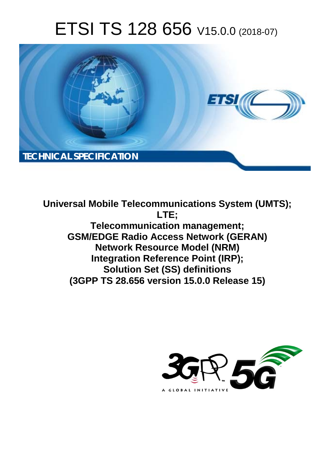# ETSI TS 128 656 V15.0.0 (2018-07)



**Universal Mobile Telecommunications System (UMTS); LTE; Telecommunication management; GSM/EDGE Radio Access Network (GERAN) Network Resource Model (NRM) Integration Reference Point (IRP); Solution Set (SS) definitions (3GPP TS 28.656 version 15.0.0 Release 15)** 

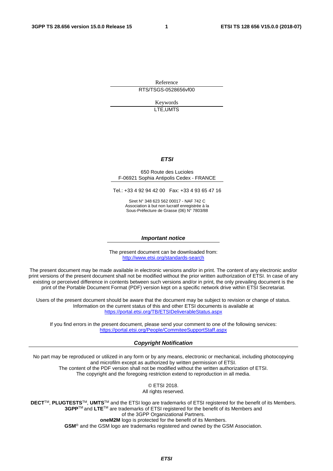Reference RTS/TSGS-0528656vf00

> Keywords LTE,UMTS

#### *ETSI*

#### 650 Route des Lucioles F-06921 Sophia Antipolis Cedex - FRANCE

Tel.: +33 4 92 94 42 00 Fax: +33 4 93 65 47 16

Siret N° 348 623 562 00017 - NAF 742 C Association à but non lucratif enregistrée à la Sous-Préfecture de Grasse (06) N° 7803/88

#### *Important notice*

The present document can be downloaded from: <http://www.etsi.org/standards-search>

The present document may be made available in electronic versions and/or in print. The content of any electronic and/or print versions of the present document shall not be modified without the prior written authorization of ETSI. In case of any existing or perceived difference in contents between such versions and/or in print, the only prevailing document is the print of the Portable Document Format (PDF) version kept on a specific network drive within ETSI Secretariat.

Users of the present document should be aware that the document may be subject to revision or change of status. Information on the current status of this and other ETSI documents is available at <https://portal.etsi.org/TB/ETSIDeliverableStatus.aspx>

If you find errors in the present document, please send your comment to one of the following services: <https://portal.etsi.org/People/CommiteeSupportStaff.aspx>

#### *Copyright Notification*

No part may be reproduced or utilized in any form or by any means, electronic or mechanical, including photocopying and microfilm except as authorized by written permission of ETSI. The content of the PDF version shall not be modified without the written authorization of ETSI. The copyright and the foregoing restriction extend to reproduction in all media.

> © ETSI 2018. All rights reserved.

**DECT**TM, **PLUGTESTS**TM, **UMTS**TM and the ETSI logo are trademarks of ETSI registered for the benefit of its Members. **3GPP**TM and **LTE**TM are trademarks of ETSI registered for the benefit of its Members and of the 3GPP Organizational Partners. **oneM2M** logo is protected for the benefit of its Members.

**GSM**® and the GSM logo are trademarks registered and owned by the GSM Association.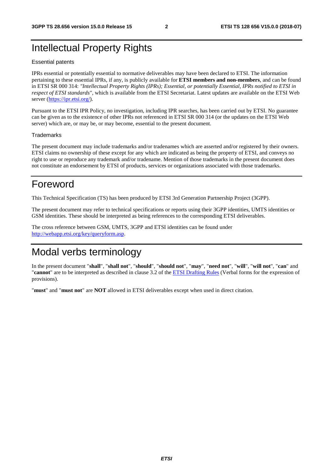### Intellectual Property Rights

#### Essential patents

IPRs essential or potentially essential to normative deliverables may have been declared to ETSI. The information pertaining to these essential IPRs, if any, is publicly available for **ETSI members and non-members**, and can be found in ETSI SR 000 314: *"Intellectual Property Rights (IPRs); Essential, or potentially Essential, IPRs notified to ETSI in respect of ETSI standards"*, which is available from the ETSI Secretariat. Latest updates are available on the ETSI Web server ([https://ipr.etsi.org/\)](https://ipr.etsi.org/).

Pursuant to the ETSI IPR Policy, no investigation, including IPR searches, has been carried out by ETSI. No guarantee can be given as to the existence of other IPRs not referenced in ETSI SR 000 314 (or the updates on the ETSI Web server) which are, or may be, or may become, essential to the present document.

#### **Trademarks**

The present document may include trademarks and/or tradenames which are asserted and/or registered by their owners. ETSI claims no ownership of these except for any which are indicated as being the property of ETSI, and conveys no right to use or reproduce any trademark and/or tradename. Mention of those trademarks in the present document does not constitute an endorsement by ETSI of products, services or organizations associated with those trademarks.

### Foreword

This Technical Specification (TS) has been produced by ETSI 3rd Generation Partnership Project (3GPP).

The present document may refer to technical specifications or reports using their 3GPP identities, UMTS identities or GSM identities. These should be interpreted as being references to the corresponding ETSI deliverables.

The cross reference between GSM, UMTS, 3GPP and ETSI identities can be found under [http://webapp.etsi.org/key/queryform.asp.](http://webapp.etsi.org/key/queryform.asp)

# Modal verbs terminology

In the present document "**shall**", "**shall not**", "**should**", "**should not**", "**may**", "**need not**", "**will**", "**will not**", "**can**" and "**cannot**" are to be interpreted as described in clause 3.2 of the [ETSI Drafting Rules](https://portal.etsi.org/Services/editHelp!/Howtostart/ETSIDraftingRules.aspx) (Verbal forms for the expression of provisions).

"**must**" and "**must not**" are **NOT** allowed in ETSI deliverables except when used in direct citation.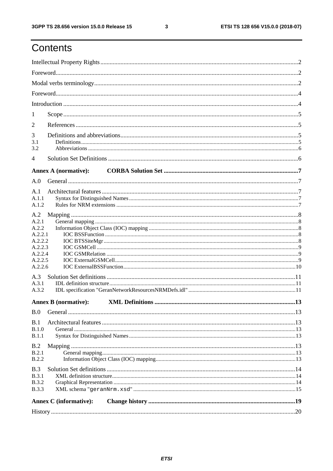# Contents

| 1                  |                               |  |  |  |  |  |  |  |
|--------------------|-------------------------------|--|--|--|--|--|--|--|
|                    |                               |  |  |  |  |  |  |  |
| 2                  |                               |  |  |  |  |  |  |  |
| 3<br>3.1           |                               |  |  |  |  |  |  |  |
| 3.2                |                               |  |  |  |  |  |  |  |
| 4                  |                               |  |  |  |  |  |  |  |
|                    |                               |  |  |  |  |  |  |  |
|                    | <b>Annex A (normative):</b>   |  |  |  |  |  |  |  |
| A.0                |                               |  |  |  |  |  |  |  |
| A.1                |                               |  |  |  |  |  |  |  |
| A.1.1<br>A.1.2     |                               |  |  |  |  |  |  |  |
|                    |                               |  |  |  |  |  |  |  |
| A.2                |                               |  |  |  |  |  |  |  |
| A.2.1<br>A.2.2     |                               |  |  |  |  |  |  |  |
| A.2.2.1            |                               |  |  |  |  |  |  |  |
| A.2.2.2            |                               |  |  |  |  |  |  |  |
| A.2.2.3            |                               |  |  |  |  |  |  |  |
| A.2.2.4<br>A.2.2.5 |                               |  |  |  |  |  |  |  |
| A.2.2.6            |                               |  |  |  |  |  |  |  |
| A.3                |                               |  |  |  |  |  |  |  |
| A.3.1              |                               |  |  |  |  |  |  |  |
| A.3.2              |                               |  |  |  |  |  |  |  |
|                    | <b>Annex B</b> (normative):   |  |  |  |  |  |  |  |
| B.0                |                               |  |  |  |  |  |  |  |
|                    |                               |  |  |  |  |  |  |  |
| B.1<br>B.1.0       |                               |  |  |  |  |  |  |  |
| B.1.1              |                               |  |  |  |  |  |  |  |
|                    |                               |  |  |  |  |  |  |  |
| B.2<br>B.2.1       |                               |  |  |  |  |  |  |  |
| <b>B.2.2</b>       |                               |  |  |  |  |  |  |  |
| B.3                |                               |  |  |  |  |  |  |  |
| B.3.1              |                               |  |  |  |  |  |  |  |
| <b>B.3.2</b>       |                               |  |  |  |  |  |  |  |
| <b>B.3.3</b>       |                               |  |  |  |  |  |  |  |
|                    | <b>Annex C</b> (informative): |  |  |  |  |  |  |  |
|                    |                               |  |  |  |  |  |  |  |
|                    |                               |  |  |  |  |  |  |  |

 $\mathbf{3}$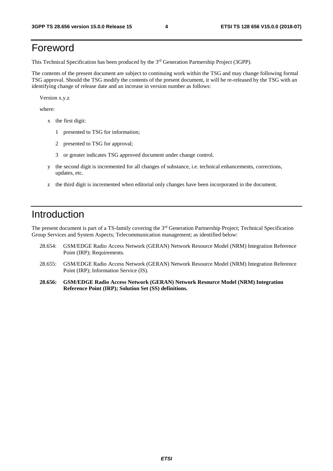## Foreword

This Technical Specification has been produced by the 3rd Generation Partnership Project (3GPP).

The contents of the present document are subject to continuing work within the TSG and may change following formal TSG approval. Should the TSG modify the contents of the present document, it will be re-released by the TSG with an identifying change of release date and an increase in version number as follows:

Version x.y.z

where:

- x the first digit:
	- 1 presented to TSG for information;
	- 2 presented to TSG for approval;
	- 3 or greater indicates TSG approved document under change control.
- y the second digit is incremented for all changes of substance, i.e. technical enhancements, corrections, updates, etc.
- z the third digit is incremented when editorial only changes have been incorporated in the document.

### Introduction

The present document is part of a TS-family covering the 3rd Generation Partnership Project; Technical Specification Group Services and System Aspects; Telecommunication management; as identified below:

- 28.654: GSM/EDGE Radio Access Network (GERAN) Network Resource Model (NRM) Integration Reference Point (IRP); Requirements.
- 28.655: GSM/EDGE Radio Access Network (GERAN) Network Resource Model (NRM) Integration Reference Point (IRP); Information Service (IS).
- **28.656: GSM/EDGE Radio Access Network (GERAN) Network Resource Model (NRM) Integration Reference Point (IRP); Solution Set (SS) definitions.**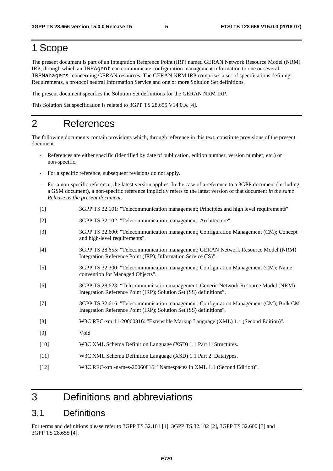# 1 Scope

The present document is part of an Integration Reference Point (IRP) named GERAN Network Resource Model (NRM) IRP, through which an IRPAgent can communicate configuration management information to one or several IRPManagers concerning GERAN resources. The GERAN NRM IRP comprises a set of specifications defining Requirements, a protocol neutral Information Service and one or more Solution Set definitions.

The present document specifies the Solution Set definitions for the GERAN NRM IRP.

This Solution Set specification is related to 3GPP TS 28.655 V14.0.X [4].

### 2 References

The following documents contain provisions which, through reference in this text, constitute provisions of the present document.

- References are either specific (identified by date of publication, edition number, version number, etc.) or non-specific.
- For a specific reference, subsequent revisions do not apply.
- For a non-specific reference, the latest version applies. In the case of a reference to a 3GPP document (including a GSM document), a non-specific reference implicitly refers to the latest version of that document *in the same Release as the present document*.
- [1] 3GPP TS 32.101: "Telecommunication management; Principles and high level requirements".
- [2] 3GPP TS 32.102: "Telecommunication management; Architecture".
- [3] 3GPP TS 32.600: "Telecommunication management; Configuration Management (CM); Concept and high-level requirements".
- [4] 3GPP TS 28.655: "Telecommunication management; GERAN Network Resource Model (NRM) Integration Reference Point (IRP); Information Service (IS)".
- [5] 3GPP TS 32.300: "Telecommunication management; Configuration Management (CM); Name convention for Managed Objects".
- [6] 3GPP TS 28.623: "Telecommunication management; Generic Network Resource Model (NRM) Integration Reference Point (IRP); Solution Set (SS) definitions".
- [7] 3GPP TS 32.616: "Telecommunication management; Configuration Management (CM); Bulk CM Integration Reference Point (IRP); Solution Set (SS) definitions".
- [8] W3C REC-xml11-20060816: "Extensible Markup Language (XML) 1.1 (Second Edition)".
- [9] Void
- [10] W3C XML Schema Definition Language (XSD) 1.1 Part 1: Structures.
- [11] W3C XML Schema Definition Language (XSD) 1.1 Part 2: Datatypes.
- [12] W3C REC-xml-names-20060816: "Namespaces in XML 1.1 (Second Edition)".

### 3 Definitions and abbreviations

### 3.1 Definitions

For terms and definitions please refer to 3GPP TS 32.101 [1], 3GPP TS 32.102 [2], 3GPP TS 32.600 [3] and 3GPP TS 28.655 [4].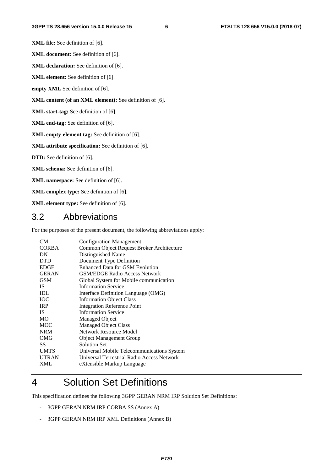**XML file:** See definition of [6].

**XML document:** See definition of [6].

**XML declaration:** See definition of [6].

**XML element:** See definition of [6].

**empty XML** See definition of [6].

**XML content (of an XML element):** See definition of [6].

**XML start-tag:** See definition of [6].

**XML end-tag:** See definition of [6].

**XML empty-element tag:** See definition of [6].

**XML attribute specification:** See definition of [6].

**DTD:** See definition of [6].

**XML schema:** See definition of [6].

**XML namespace:** See definition of [6].

**XML complex type:** See definition of [6].

**XML element type:** See definition of [6].

### 3.2 Abbreviations

For the purposes of the present document, the following abbreviations apply:

| <b>CM</b>    | <b>Configuration Management</b>            |
|--------------|--------------------------------------------|
| <b>CORBA</b> | Common Object Request Broker Architecture  |
| DN           | Distinguished Name                         |
| <b>DTD</b>   | Document Type Definition                   |
| <b>EDGE</b>  | <b>Enhanced Data for GSM Evolution</b>     |
| <b>GERAN</b> | <b>GSM/EDGE Radio Access Network</b>       |
| <b>GSM</b>   | Global System for Mobile communication     |
| <b>IS</b>    | <b>Information Service</b>                 |
| <b>IDL</b>   | Interface Definition Language (OMG)        |
| <b>IOC</b>   | <b>Information Object Class</b>            |
| <b>IRP</b>   | <b>Integration Reference Point</b>         |
| IS.          | <b>Information Service</b>                 |
| MO.          | <b>Managed Object</b>                      |
| <b>MOC</b>   | <b>Managed Object Class</b>                |
| <b>NRM</b>   | Network Resource Model                     |
| OMG          | <b>Object Management Group</b>             |
| SS           | <b>Solution Set</b>                        |
| <b>UMTS</b>  | Universal Mobile Telecommunications System |
| <b>UTRAN</b> | Universal Terrestrial Radio Access Network |
| <b>XML</b>   | eXtensible Markup Language                 |

# 4 Solution Set Definitions

This specification defines the following 3GPP GERAN NRM IRP Solution Set Definitions:

- 3GPP GERAN NRM IRP CORBA SS (Annex A)
- 3GPP GERAN NRM IRP XML Definitions (Annex B)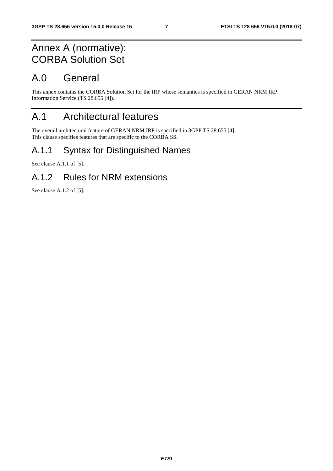# Annex A (normative): CORBA Solution Set

# A.0 General

This annex contains the CORBA Solution Set for the IRP whose semantics is specified in GERAN NRM IRP: Information Service (TS 28.655 [4]).

# A.1 Architectural features

The overall architectural feature of GERAN NRM IRP is specified in 3GPP TS 28.655 [4]. This clause specifies features that are specific to the CORBA SS.

### A.1.1 Syntax for Distinguished Names

See clause A.1.1 of [5].

### A.1.2 Rules for NRM extensions

See clause A.1.2 of [5].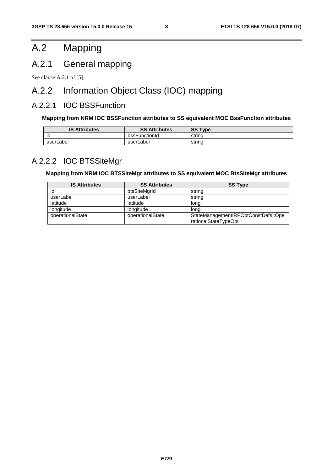# A.2 Mapping

### A.2.1 General mapping

See clause A.2.1 of [5].

# A.2.2 Information Object Class (IOC) mapping

### A.2.2.1 IOC BSSFunction

#### **Mapping from NRM IOC BSSFunction attributes to SS equivalent MOC BssFunction attributes**

| <b>IS Attributes</b> | <b>SS Attributes</b> | <b>SS Type</b> |
|----------------------|----------------------|----------------|
| IQ                   | bssFunctionId        | strina         |
| userLabel            | userLabel            | string         |

### A.2.2.2 IOC BTSSiteMgr

#### **Mapping from NRM IOC BTSSiteMgr attributes to SS equivalent MOC BtsSiteMgr attributes**

| <b>IS Attributes</b> | <b>SS Attributes</b> | <b>SS Type</b>                                              |
|----------------------|----------------------|-------------------------------------------------------------|
| id                   | btsSiteMarId         | string                                                      |
| userLabel            | userLabel            | string                                                      |
| latitude             | latitude             | long                                                        |
| longitude            | longitude            | lona                                                        |
| operationalState     | operationalState     | StateManagementIRPOptConstDefs::Ope<br>rationalStateTypeOpt |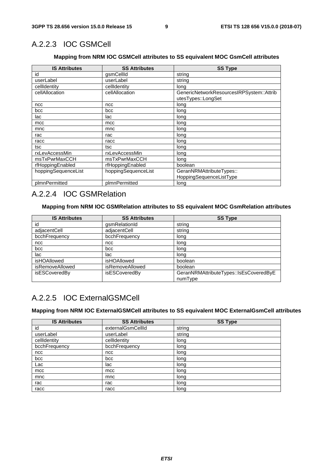### A.2.2.3 IOC GSMCell

#### **Mapping from NRM IOC GSMCell attributes to SS equivalent MOC GsmCell attributes**

| <b>IS Attributes</b> | <b>SS Attributes</b> | <b>SS Type</b>                                                 |
|----------------------|----------------------|----------------------------------------------------------------|
| id                   | gsmCellId            | string                                                         |
| userLabel            | userLabel            | string                                                         |
| cellIdentity         | cellIdentity         | long                                                           |
| cellAllocation       | cellAllocation       | GenericNetworkResourcesIRPSystem::Attrib<br>utesTypes::LongSet |
| ncc                  | ncc                  | long                                                           |
| bcc                  | bcc                  | long                                                           |
| lac                  | lac                  | long                                                           |
| mcc                  | mcc                  | long                                                           |
| mnc                  | mnc                  | long                                                           |
| rac                  | rac                  | long                                                           |
| racc                 | racc                 | long                                                           |
| tsc                  | tsc                  | long                                                           |
| rxLevAccessMin       | rxLevAccessMin       | long                                                           |
| msTxPwrMaxCCH        | msTxPwrMaxCCH        | long                                                           |
| rfHoppingEnabled     | rfHoppingEnabled     | boolean                                                        |
| hoppingSequenceList  | hoppingSequenceList  | GeranNRMAttributeTypes::                                       |
|                      |                      | HoppingSequenceListType                                        |
| plmnPermitted        | plmnPermitted        | long                                                           |

### A.2.2.4 IOC GSMRelation

#### **Mapping from NRM IOC GSMRelation attributes to SS equivalent MOC GsmRelation attributes**

| <b>IS Attributes</b> | <b>SS Attributes</b>   | <b>SS Type</b>                         |
|----------------------|------------------------|----------------------------------------|
| id                   | gsmRelationId          | string                                 |
| adjacentCell         | adjacentCell           | string                                 |
| bcchFrequency        | bcchFrequency          | long                                   |
| ncc                  | ncc                    | long                                   |
| bcc                  | bcc                    | long                                   |
| lac                  | lac                    | long                                   |
| isHOAllowed          | isHOAllowed            | boolean                                |
| isRemoveAllowed      | <i>isRemoveAllowed</i> | boolean                                |
| isESCoveredBy        | isESCoveredBy          | GeranNRMAttributeTypes::IsEsCoveredByE |
|                      |                        | numType                                |

### A.2.2.5 IOC ExternalGSMCell

#### **Mapping from NRM IOC ExternalGSMCell attributes to SS equivalent MOC ExternalGsmCell attributes**

| <b>IS Attributes</b> | <b>SS Attributes</b> | <b>SS Type</b> |
|----------------------|----------------------|----------------|
| id                   | externalGsmCellId    | string         |
| userLabel            | userLabel            | string         |
| cellIdentity         | cellIdentity         | long           |
| bcchFrequency        | bcchFrequency        | long           |
| ncc                  | ncc                  | long           |
| bcc                  | bcc                  | long           |
| Lac                  | lac                  | long           |
| mcc                  | mcc                  | long           |
| mnc                  | mnc                  | long           |
| rac                  | rac                  | long           |
| racc                 | racc                 | long           |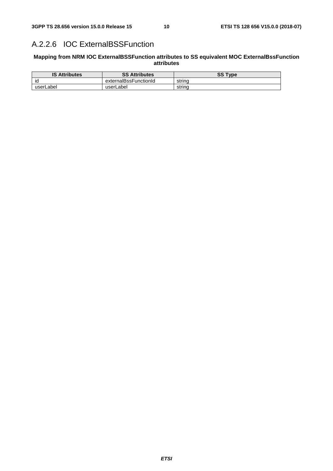### A.2.2.6 IOC ExternalBSSFunction

#### **Mapping from NRM IOC ExternalBSSFunction attributes to SS equivalent MOC ExternalBssFunction attributes**

| <b>IS Attributes</b> | <b>SS Attributes</b>  | <b>SS Type</b> |
|----------------------|-----------------------|----------------|
| ıd                   | externalBssFunctionId | strina         |
| userLabel            | userLabel             | strina         |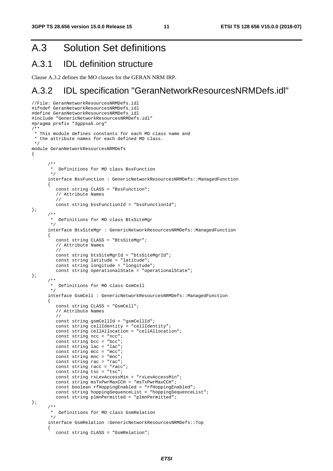# A.3 Solution Set definitions

### A.3.1 IDL definition structure

Clause A.3.2 defines the MO classes for the GERAN NRM IRP.

# A.3.2 IDL specification "GeranNetworkResourcesNRMDefs.idl"

```
//File: GeranNetworkResourcesNRMDefs.idl 
#ifndef GeranNetworkResourcesNRMDefs_idl 
#define GeranNetworkResourcesNRMDefs_idl 
#include "GenericNetworkResourcesNRMDefs.idl" 
#pragma prefix "3gppsa5.org" 
/** 
  * This module defines constants for each MO class name and 
  * the attribute names for each defined MO class. 
  */ 
module GeranNetworkResourcesNRMDefs 
{ 
 /** 
        * Definitions for MO class BssFunction 
        */ 
       interface BssFunction : GenericNetworkResourcesNRMDefs::ManagedFunction 
      \left\{ \right. const string CLASS = "BssFunction"; 
          // Attribute Names 
          // 
          const string bssFunctionId = "bssFunctionId"; 
}; 
       /** 
        * Definitions for MO class BtsSiteMgr 
        */ 
       interface BtsSiteMgr : GenericNetworkResourcesNRMDefs::ManagedFunction 
       { 
          const string CLASS = "BtsSiteMgr"; 
          // Attribute Names 
          // 
          const string btsSiteMgrId = "btsSiteMgrId"; 
          const string latitude = "latitude"; 
          const string longitude = "longitude"; 
          const string operationalState = "operationalState"; 
}; 
       /** 
        * Definitions for MO class GsmCell 
        */ 
       interface GsmCell : GenericNetworkResourcesNRMDefs::ManagedFunction 
       { 
         const string CLASS = "GsmCell";
          // Attribute Names 
          // 
         const string gsmCellId = "gsmCellId";
          const string cellIdentity = "cellIdentity"; 
          const string cellAllocation = "cellAllocation"; 
const string ncc = "ncc";
 const string bcc = "bcc"; 
         const string lac = "lac";
         const string mcc = "mcc";
         const string mnc = "mnc";
          const string rac = "rac"; 
         const string racc = "racc";
          const string tsc = "tsc"; 
          const string rxLevAccessMin = "rxLevAccessMin"; 
          const string msTxPwrMaxCCH = "msTxPwrMaxCCH"; 
          const boolean rfHoppingEnabled = "rfHoppingEnabled"; 
          const string hoppingSequenceList = "hoppingSequenceList"; 
          const string plmnPermitted = "plmnPermitted"; 
}; 
       /** 
        * Definitions for MO class GsmRelation 
        */ 
       interface GsmRelation :GenericNetworkResourcesNRMDefs::Top 
       { 
          const string CLASS = "GsmRelation";
```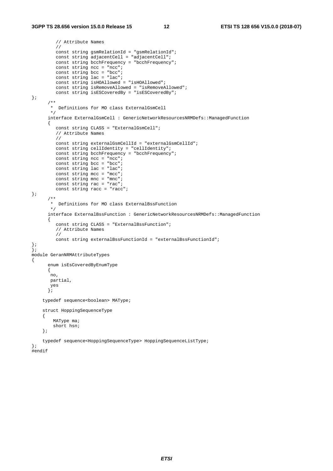```
 // Attribute Names 
          // 
          const string gsmRelationId = "gsmRelationId"; 
         const string adjacentCell = "adjacentCell";
          const string bcchFrequency = "bcchFrequency"; 
         const string ncc = "nc";
 const string bcc = "bcc"; 
 const string lac = "lac"; 
          const string isHOAllowed = "isHOAllowed"; 
          const string isRemoveAllowed = "isRemoveAllowed"; 
          const string isESCoveredBy = "isESCoveredBy"; 
}; 
       /** 
        * Definitions for MO class ExternalGsmCell 
        */ 
       interface ExternalGsmCell : GenericNetworkResourcesNRMDefs::ManagedFunction 
       { 
         const string CLASS = "ExternalGsmCell";
          // Attribute Names 
          // 
          const string externalGsmCellId = "externalGsmCellId"; 
          const string cellIdentity = "cellIdentity"; 
          const string bcchFrequency = "bcchFrequency"; 
         const string ncc = "ncc";
         const string bcc = "bcc";const string lac = "lac";const string mcc = "mcc";
          const string mnc = "mnc"; 
         const string rac = "rac";
          const string racc = "racc"; 
}; 
       /** 
        * Definitions for MO class ExternalBssFunction 
        */ 
       interface ExternalBssFunction : GenericNetworkResourcesNRMDefs::ManagedFunction 
       { 
          const string CLASS = "ExternalBssFunction"; 
          // Attribute Names 
          // 
          const string externalBssFunctionId = "externalBssFunctionId"; 
}; 
}; 
module GeranNRMAttributeTypes 
{ 
       enum isEsCoveredByEnumType 
       { 
        no, 
        partial, 
        yes 
       }; 
     typedef sequence<boolean> MAType; 
     struct HoppingSequenceType 
     { 
         MAType ma; 
         short hsn; 
     }; 
     typedef sequence<HoppingSequenceType> HoppingSequenceListType; 
}; 
#endif
```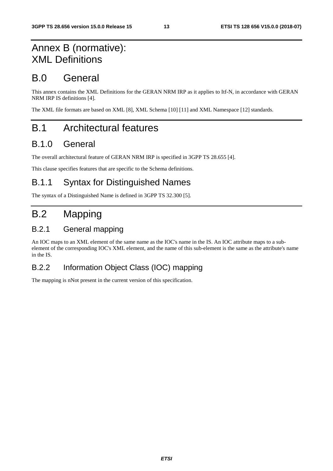# Annex B (normative): XML Definitions

# B.0 General

This annex contains the XML Definitions for the GERAN NRM IRP as it applies to Itf-N, in accordance with GERAN NRM IRP IS definitions [4].

The XML file formats are based on XML [8], XML Schema [10] [11] and XML Namespace [12] standards.

# B.1 Architectural features

### B.1.0 General

The overall architectural feature of GERAN NRM IRP is specified in 3GPP TS 28.655 [4].

This clause specifies features that are specific to the Schema definitions.

### B.1.1 Syntax for Distinguished Names

The syntax of a Distinguished Name is defined in 3GPP TS 32.300 [5].

# B.2 Mapping

### B.2.1 General mapping

An IOC maps to an XML element of the same name as the IOC's name in the IS. An IOC attribute maps to a subelement of the corresponding IOC's XML element, and the name of this sub-element is the same as the attribute's name in the IS.

### B.2.2 Information Object Class (IOC) mapping

The mapping is nNot present in the current version of this specification.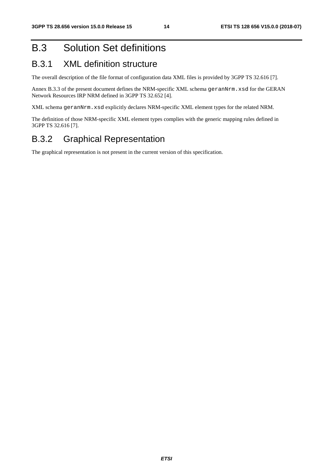# B.3 Solution Set definitions

### B.3.1 XML definition structure

The overall description of the file format of configuration data XML files is provided by 3GPP TS 32.616 [7].

Annex B.3.3 of the present document defines the NRM-specific XML schema geranNrm.xsd for the GERAN Network Resources IRP NRM defined in 3GPP TS 32.652 [4].

XML schema geranNrm.xsd explicitly declares NRM-specific XML element types for the related NRM.

The definition of those NRM-specific XML element types complies with the generic mapping rules defined in 3GPP TS 32.616 [7].

### B.3.2 Graphical Representation

The graphical representation is not present in the current version of this specification.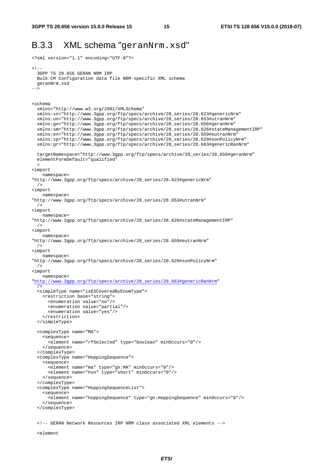<?xml version="1.1" encoding="UTF-8"?>

### B.3.3 XML schema "geranNrm.xsd"

```
2 + - 3GPP TS 28.656 GERAN NRM IRP 
  Bulk CM Configuration data file NRM-specific XML schema 
  geranNrm.xsd 
--&><schema 
  xmlns="http://www.w3.org/2001/XMLSchema" 
   xmlns:xn="http://www.3gpp.org/ftp/specs/archive/28_series/28.623#genericNrm" 
   xmlns:un="http://www.3gpp.org/ftp/specs/archive/28_series/28.653#utranNrm" 
  xmlns:gn="http://www.3gpp.org/ftp/specs/archive/28_series/28.656#geranNrm" 
   xmlns:sm="http://www.3gpp.org/ftp/specs/archive/28_series/28.626#stateManagementIRP" 
   xmlns:en="http://www.3gpp.org/ftp/specs/archive/28_series/28.659#eutranNrm" 
   xmlns:sp="http://www.3gpp.org/ftp/specs/archive/28_series/28.629#sonPolicyNrm" 
   xmlns:gr="http://www.3gpp.org/ftp/specs/archive/28_series/28.663#genericRanNrm" 
   targetNamespace="http://www.3gpp.org/ftp/specs/archive/28_series/28.656#geranNrm" 
   elementFormDefault="qualified" 
\rightarrow<import 
    namespace= 
"http://www.3gpp.org/ftp/specs/archive/28_series/28.623#genericNrm" 
   /> 
<import 
    namespace= 
"http://www.3gpp.org/ftp/specs/archive/28_series/28.653#utranNrm" 
  /<import 
   namespace= 
"http://www.3gpp.org/ftp/specs/archive/28_series/28.626#stateManagementIRP" 
  /<import 
    namespace= 
"http://www.3gpp.org/ftp/specs/archive/28_series/28.659#eutranNrm" 
  /<import 
    namespace= 
"http://www.3gpp.org/ftp/specs/archive/28_series/28.629#sonPolicyNrm" 
  /> 
<import 
    namespace= 
"http://www.3gpp.org/ftp/specs/archive/28_series/28.663#genericRanNrm" 
 / <simpleType name="isESCoveredByEnumType"> 
     <restriction base="string"> 
      <enumeration value="no"/> 
       <enumeration value="partial"/> 
       <enumeration value="yes"/> 
     </restriction> 
   </simpleType> 
   <complexType name="MA"> 
     <sequence> 
       <element name="rfSelected" type="boolean" minOccurs="0"/> 
     </sequence> 
   </complexType> 
   <complexType name="HoppingSequence"> 
     <sequence> 
       <element name="ma" type="gn:MA" minOccurs="0"/> 
       <element name="hsn" type="short" minOccurs="0"/> 
     </sequence> 
   </complexType> 
   <complexType name="HoppingSequenceList"> 
     <sequence> 
       <element name="hoppingSequence" type="gn:HoppingSequence" minOccurs="0"/> 
     </sequence> 
   </complexType> 
   <!-- GERAN Network Resources IRP NRM class associated XML elements -->
```
<element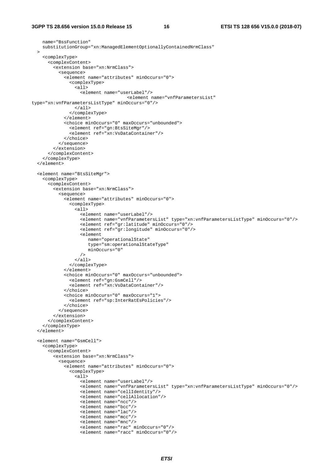```
 name="BssFunction" 
     substitutionGroup="xn:ManagedElementOptionallyContainedNrmClass" 
\rightarrow <complexType> 
       <complexContent> 
          <extension base="xn:NrmClass"> 
            <sequence> 
              <element name="attributes" minOccurs="0"> 
                <complexType> 
                  <all> 
                     <element name="userLabel"/> 
                                        <element name="vnfParametersList" 
type="xn:vnfParametersListType" minOccurs="0"/> 
                 \langleall\rangle </complexType> 
              </element> 
              <choice minOccurs="0" maxOccurs="unbounded"> 
                <element ref="gn:BtsSiteMgr"/> 
                <element ref="xn:VsDataContainer"/> 
              </choice> 
            </sequence> 
          </extension> 
       </complexContent> 
     </complexType> 
   </element> 
   <element name="BtsSiteMgr"> 
     <complexType> 
       <complexContent> 
          <extension base="xn:NrmClass"> 
            <sequence> 
              <element name="attributes" minOccurs="0"> 
                <complexType> 
                 \overline{\text{call}} <element name="userLabel"/> 
                     <element name="vnfParametersList" type="xn:vnfParametersListType" minOccurs="0"/> 
                     <element ref="gr:latitude" minOccurs="0"/> 
                     <element ref="gr:longitude" minOccurs="0"/> 
                     <element 
                        name="operationalState" 
                        type="sm:operationalStateType" 
                     minOccurs="0" 
 /> 
                 \langleall\rangle </complexType> 
              </element> 
              <choice minOccurs="0" maxOccurs="unbounded"> 
                <element ref="gn:GsmCell"/> 
                <element ref="xn:VsDataContainer"/> 
              </choice> 
              <choice minOccurs="0" maxOccurs="1"> 
                <element ref="sp:InterRatEsPolicies"/> 
              </choice> 
            </sequence> 
          </extension> 
       </complexContent> 
     </complexType> 
   </element> 
   <element name="GsmCell"> 
     <complexType> 
       <complexContent> 
          <extension base="xn:NrmClass"> 
            <sequence> 
              <element name="attributes" minOccurs="0"> 
                <complexType> 
                  <all> 
                    <element name="userLabel"/> 
                     <element name="vnfParametersList" type="xn:vnfParametersListType" minOccurs="0"/> 
                     <element name="cellIdentity"/> 
                     <element name="cellAllocation"/> 
                     <element name="ncc"/> 
                     <element name="bcc"/> 
                     <element name="lac"/> 
                     <element name="mcc"/> 
                     <element name="mnc"/> 
                     <element name="rac" minOccurs="0"/> 
                     <element name="racc" minOccurs="0"/>
```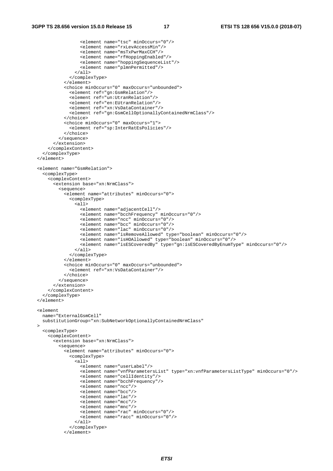```
 <element name="tsc" minOccurs="0"/> 
                  <element name="rxLevAccessMin"/> 
                  <element name="msTxPwrMaxCCH"/> 
                  <element name="rfHoppingEnabled"/> 
                  <element name="hoppingSequenceList"/> 
                  <element name="plmnPermitted"/> 
                </all> 
              </complexType> 
            </element> 
            <choice minOccurs="0" maxOccurs="unbounded"> 
              <element ref="gn:GsmRelation"/> 
              <element ref="un:UtranRelation"/> 
              <element ref="en:EUtranRelation"/> 
              <element ref="xn:VsDataContainer"/> 
              <element ref="gn:GsmCellOptionallyContainedNrmClass"/> 
            </choice> 
            <choice minOccurs="0" maxOccurs="1"> 
              <element ref="sp:InterRatEsPolicies"/> 
            </choice> 
          </sequence> 
       </extension> 
     </complexContent> 
   </complexType> 
 </element> 
 <element name="GsmRelation"> 
   <complexType> 
     <complexContent> 
       <extension base="xn:NrmClass"> 
          <sequence> 
            <element name="attributes" minOccurs="0"> 
              <complexType> 
               \overline{311} <element name="adjacentCell"/> 
                  <element name="bcchFrequency" minOccurs="0"/> 
                  <element name="ncc" minOccurs="0"/> 
                  <element name="bcc" minOccurs="0"/> 
                  <element name="lac" minOccurs="0"/> 
                  <element name="isRemoveAllowed" type="boolean" minOccurs="0"/> 
                  <element name="isHOAllowed" type="boolean" minOccurs="0"/> 
                  <element name="isESCoveredBy" type="gn:isESCoveredByEnumType" minOccurs="0"/> 
               \langleall\rangle </complexType> 
            </element> 
            <choice minOccurs="0" maxOccurs="unbounded"> 
              <element ref="xn:VsDataContainer"/> 
            </choice> 
         </sequence> 
       </extension> 
     </complexContent> 
   </complexType> 
 </element> 
 <element 
  name="ExternalGsmCell" 
  substitutionGroup="xn:SubNetworkOptionallyContainedNrmClass" 
\sim <complexType> 
     <complexContent> 
       <extension base="xn:NrmClass"> 
          <sequence> 
            <element name="attributes" minOccurs="0"> 
              <complexType> 
                <all> 
                  <element name="userLabel"/> 
                  <element name="vnfParametersList" type="xn:vnfParametersListType" minOccurs="0"/> 
                  <element name="cellIdentity"/> 
                  <element name="bcchFrequency"/> 
                  <element name="ncc"/> 
                  <element name="bcc"/> 
                  <element name="lac"/> 
                  <element name="mcc"/> 
                  <element name="mnc"/> 
                  <element name="rac" minOccurs="0"/> 
                  <element name="racc" minOccurs="0"/> 
                </all> 
              </complexType> 
            </element>
```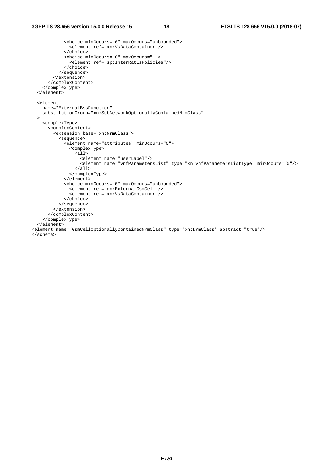```
 <choice minOccurs="0" maxOccurs="unbounded"> 
                <element ref="xn:VsDataContainer"/> 
              </choice> 
             <choice minOccurs="0" maxOccurs="1"> 
               <element ref="sp:InterRatEsPolicies"/> 
              </choice> 
           </sequence> 
         </extension> 
       </complexContent> 
     </complexType> 
   </element> 
   <element 
    name="ExternalBssFunction" 
    substitutionGroup="xn:SubNetworkOptionallyContainedNrmClass" 
   > 
     <complexType> 
       <complexContent> 
         <extension base="xn:NrmClass"> 
           <sequence> 
             <element name="attributes" minOccurs="0"> 
                <complexType> 
                  <all> 
                    <element name="userLabel"/> 
                    <element name="vnfParametersList" type="xn:vnfParametersListType" minOccurs="0"/> 
                  </all> 
                </complexType> 
              </element> 
              <choice minOccurs="0" maxOccurs="unbounded"> 
                <element ref="gn:ExternalGsmCell"/> 
                <element ref="xn:VsDataContainer"/> 
              </choice> 
           </sequence> 
         </extension> 
       </complexContent> 
     </complexType> 
   </element> 
<element name="GsmCellOptionallyContainedNrmClass" type="xn:NrmClass" abstract="true"/> 
</schema>
```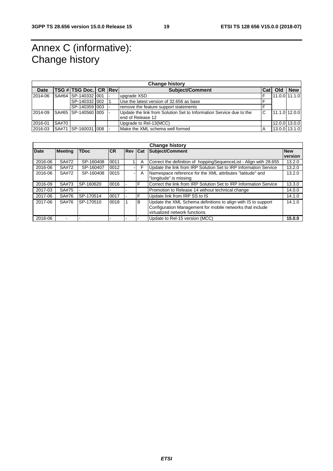# Annex C (informative): Change history

| <b>Change history</b> |       |                         |  |  |                                                                                          |        |  |                 |  |  |
|-----------------------|-------|-------------------------|--|--|------------------------------------------------------------------------------------------|--------|--|-----------------|--|--|
| <b>Date</b>           |       | TSG # TSG Doc. CR   Rev |  |  | <b>Subject/Comment</b>                                                                   | lCat I |  |                 |  |  |
| 2014-06               |       | SA#64 SP-140332 001     |  |  | upgrade XSD                                                                              |        |  | $11.0.0$ 11.1.0 |  |  |
|                       |       | SP-140332 002           |  |  | Use the latest version of 32.656 as base                                                 |        |  |                 |  |  |
|                       |       | SP-140359 003           |  |  | remove the feature support statements                                                    |        |  |                 |  |  |
| 2014-09               |       | SA#65 SP-140560 005     |  |  | Update the link from Solution Set to Information Service due to the<br>end of Release 12 | C      |  | 11.1.0 12.0.0   |  |  |
| 2016-01               | SA#70 |                         |  |  | 12.0.0 13.0.0<br>Upgrade to Rel-13(MCC)                                                  |        |  |                 |  |  |
| 2016-03               |       | SA#71 SP-160031 008 -   |  |  | 13.0.0 13.1.0<br>Make the XML schema well formed<br>A                                    |        |  |                 |  |  |

| <b>Change history</b> |                |             |           |            |            |                                                                   |            |  |
|-----------------------|----------------|-------------|-----------|------------|------------|-------------------------------------------------------------------|------------|--|
| <b>Date</b>           | <b>Meeting</b> | <b>TDoc</b> | <b>CR</b> | <b>Rev</b> | <b>Cat</b> | Subject/Comment                                                   | <b>New</b> |  |
|                       |                |             |           |            |            |                                                                   | version    |  |
| 2016-06               | SA#72          | SP-160408   | 0011      |            | Α          | Correct the definition of hoppingSequenceList - Align with 28.655 | 13.2.0     |  |
| 2016-06               | SA#72          | SP-160407   | 0012      |            | F          | Update the link from IRP Solution Set to IRP Information Service  | 13.2.0     |  |
| 2016-06               | SA#72          | SP-160408   | 0015      | ۰.         | A          | Namespace reference for the XML attributes "latitude" and         | 13.2.0     |  |
|                       |                |             |           |            |            | "longitude" is missing                                            |            |  |
| 2016-09               | SA#73          | SP-160620   | 0016      |            | F          | Correct the link from IRP Solution Set to IRP Information Service | 13.3.0     |  |
| 2017-03               | SA#75          |             |           |            |            | Promotion to Release 14 without technical change                  | 14.0.0     |  |
| 2017-06               | SA#76          | SP-170514   | 0017      |            |            | Update link from IRP SS to IS                                     | 14.1.0     |  |
| 2017-06               | SA#76          | SP-170510   | 0018      |            | B          | Update the XML Schema definitions to align with IS to support     | 14.1.0     |  |
|                       |                |             |           |            |            | Configuration Management for mobile networks that include         |            |  |
|                       |                |             |           |            |            | virtualized network functions                                     |            |  |
| 2018-06               | -              |             |           |            |            | Update to Rel-15 version (MCC)                                    | 15.0.0     |  |